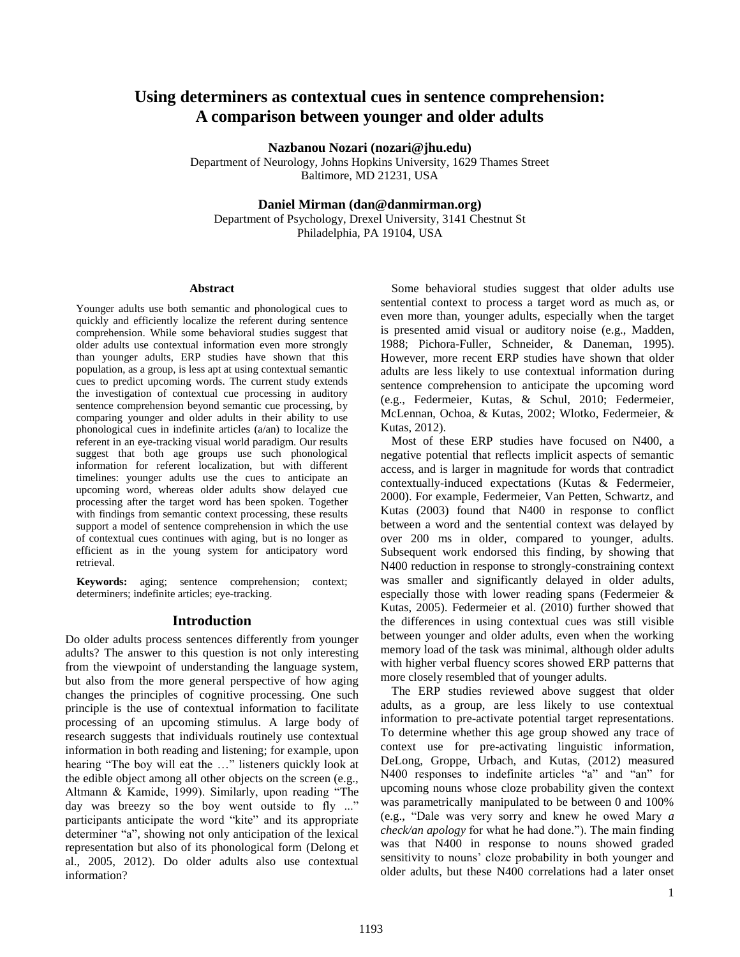# **Using determiners as contextual cues in sentence comprehension: A comparison between younger and older adults**

**Nazbanou Nozari (nozari@jhu.edu)**

Department of Neurology, Johns Hopkins University, 1629 Thames Street Baltimore, MD 21231, USA

**Daniel Mirman (dan@danmirman.org)**

Department of Psychology, Drexel University, 3141 Chestnut St Philadelphia, PA 19104, USA

#### **Abstract**

Younger adults use both semantic and phonological cues to quickly and efficiently localize the referent during sentence comprehension. While some behavioral studies suggest that older adults use contextual information even more strongly than younger adults, ERP studies have shown that this population, as a group, is less apt at using contextual semantic cues to predict upcoming words. The current study extends the investigation of contextual cue processing in auditory sentence comprehension beyond semantic cue processing, by comparing younger and older adults in their ability to use phonological cues in indefinite articles (a/an) to localize the referent in an eye-tracking visual world paradigm. Our results suggest that both age groups use such phonological information for referent localization, but with different timelines: younger adults use the cues to anticipate an upcoming word, whereas older adults show delayed cue processing after the target word has been spoken. Together with findings from semantic context processing, these results support a model of sentence comprehension in which the use of contextual cues continues with aging, but is no longer as efficient as in the young system for anticipatory word retrieval.

**Keywords:** aging; sentence comprehension; context; determiners; indefinite articles; eye-tracking.

## **Introduction**

Do older adults process sentences differently from younger adults? The answer to this question is not only interesting from the viewpoint of understanding the language system, but also from the more general perspective of how aging changes the principles of cognitive processing. One such principle is the use of contextual information to facilitate processing of an upcoming stimulus. A large body of research suggests that individuals routinely use contextual information in both reading and listening; for example, upon hearing "The boy will eat the …" listeners quickly look at the edible object among all other objects on the screen (e.g., Altmann & Kamide, 1999). Similarly, upon reading "The day was breezy so the boy went outside to fly ..." participants anticipate the word "kite" and its appropriate determiner "a", showing not only anticipation of the lexical representation but also of its phonological form (Delong et al., 2005, 2012). Do older adults also use contextual information?

Some behavioral studies suggest that older adults use sentential context to process a target word as much as, or even more than, younger adults, especially when the target is presented amid visual or auditory noise (e.g., Madden, 1988; Pichora-Fuller, Schneider, & Daneman, 1995). However, more recent ERP studies have shown that older adults are less likely to use contextual information during sentence comprehension to anticipate the upcoming word (e.g., Federmeier, Kutas, & Schul, 2010; Federmeier, McLennan, Ochoa, & Kutas, 2002; Wlotko, Federmeier, & Kutas, 2012).

Most of these ERP studies have focused on N400, a negative potential that reflects implicit aspects of semantic access, and is larger in magnitude for words that contradict contextually-induced expectations (Kutas & Federmeier, 2000). For example, Federmeier, Van Petten, Schwartz, and Kutas (2003) found that N400 in response to conflict between a word and the sentential context was delayed by over 200 ms in older, compared to younger, adults. Subsequent work endorsed this finding, by showing that N400 reduction in response to strongly-constraining context was smaller and significantly delayed in older adults, especially those with lower reading spans (Federmeier & Kutas, 2005). Federmeier et al. (2010) further showed that the differences in using contextual cues was still visible between younger and older adults, even when the working memory load of the task was minimal, although older adults with higher verbal fluency scores showed ERP patterns that more closely resembled that of younger adults.

The ERP studies reviewed above suggest that older adults, as a group, are less likely to use contextual information to pre-activate potential target representations. To determine whether this age group showed any trace of context use for pre-activating linguistic information, DeLong, Groppe, Urbach, and Kutas, (2012) measured N400 responses to indefinite articles "a" and "an" for upcoming nouns whose cloze probability given the context was parametrically manipulated to be between 0 and 100% (e.g., "Dale was very sorry and knew he owed Mary *a check/an apology* for what he had done."). The main finding was that N400 in response to nouns showed graded sensitivity to nouns' cloze probability in both younger and older adults, but these N400 correlations had a later onset

1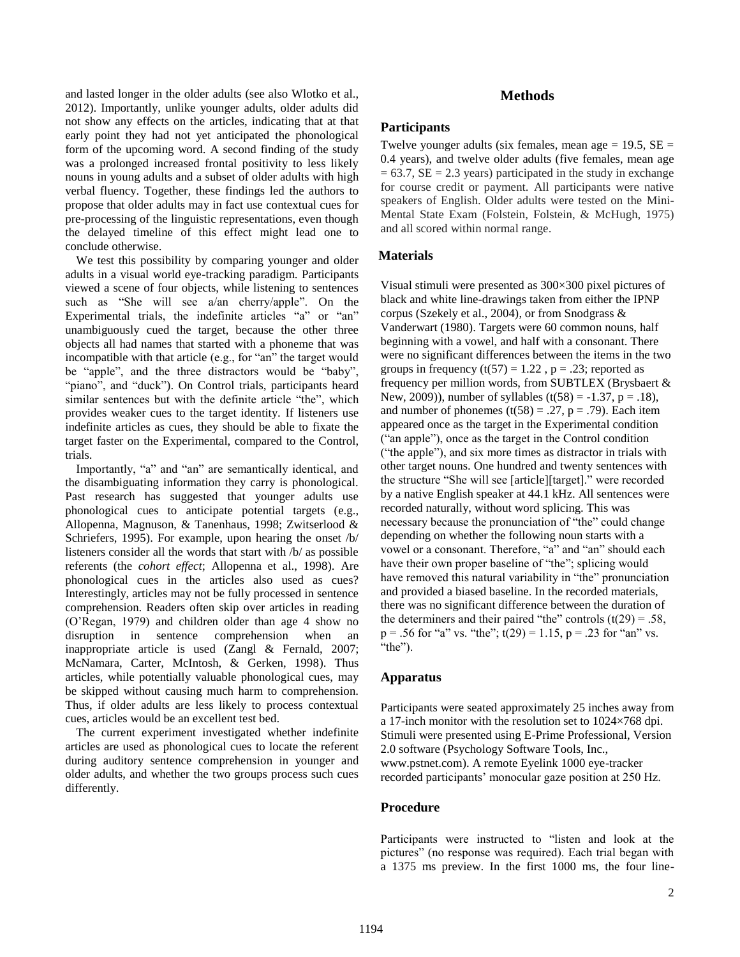and lasted longer in the older adults (see also Wlotko et al., 2012). Importantly, unlike younger adults, older adults did not show any effects on the articles, indicating that at that early point they had not yet anticipated the phonological form of the upcoming word. A second finding of the study was a prolonged increased frontal positivity to less likely nouns in young adults and a subset of older adults with high verbal fluency. Together, these findings led the authors to propose that older adults may in fact use contextual cues for pre-processing of the linguistic representations, even though the delayed timeline of this effect might lead one to conclude otherwise.

We test this possibility by comparing younger and older adults in a visual world eye-tracking paradigm. Participants viewed a scene of four objects, while listening to sentences such as "She will see a/an cherry/apple". On the Experimental trials, the indefinite articles "a" or "an" unambiguously cued the target, because the other three objects all had names that started with a phoneme that was incompatible with that article (e.g., for "an" the target would be "apple", and the three distractors would be "baby", "piano", and "duck"). On Control trials, participants heard similar sentences but with the definite article "the", which provides weaker cues to the target identity. If listeners use indefinite articles as cues, they should be able to fixate the target faster on the Experimental, compared to the Control, trials.

Importantly, "a" and "an" are semantically identical, and the disambiguating information they carry is phonological. Past research has suggested that younger adults use phonological cues to anticipate potential targets (e.g., Allopenna, Magnuson, & Tanenhaus, 1998; Zwitserlood & Schriefers, 1995). For example, upon hearing the onset /b/ listeners consider all the words that start with /b/ as possible referents (the *cohort effect*; Allopenna et al., 1998). Are phonological cues in the articles also used as cues? Interestingly, articles may not be fully processed in sentence comprehension. Readers often skip over articles in reading (O'Regan, 1979) and children older than age 4 show no disruption in sentence comprehension when an inappropriate article is used (Zangl & Fernald, 2007; McNamara, Carter, McIntosh, & Gerken, 1998). Thus articles, while potentially valuable phonological cues, may be skipped without causing much harm to comprehension. Thus, if older adults are less likely to process contextual cues, articles would be an excellent test bed.

The current experiment investigated whether indefinite articles are used as phonological cues to locate the referent during auditory sentence comprehension in younger and older adults, and whether the two groups process such cues differently.

# **Methods**

### **Participants**

Twelve younger adults (six females, mean age  $= 19.5$ ,  $SE =$ 0.4 years), and twelve older adults (five females, mean age  $= 63.7$ , SE  $= 2.3$  years) participated in the study in exchange for course credit or payment. All participants were native speakers of English. Older adults were tested on the Mini-Mental State Exam (Folstein, Folstein, & McHugh, 1975) and all scored within normal range.

## **Materials**

Visual stimuli were presented as 300×300 pixel pictures of black and white line-drawings taken from either the IPNP corpus (Szekely et al., 2004), or from Snodgrass & Vanderwart (1980). Targets were 60 common nouns, half beginning with a vowel, and half with a consonant. There were no significant differences between the items in the two groups in frequency  $(t(57) = 1.22$ ,  $p = .23$ ; reported as frequency per million words, from SUBTLEX (Brysbaert & New, 2009)), number of syllables (t(58) =  $-1.37$ , p = .18), and number of phonemes  $(t(58) = .27, p = .79)$ . Each item appeared once as the target in the Experimental condition ("an apple"), once as the target in the Control condition ("the apple"), and six more times as distractor in trials with other target nouns. One hundred and twenty sentences with the structure "She will see [article][target]." were recorded by a native English speaker at 44.1 kHz. All sentences were recorded naturally, without word splicing. This was necessary because the pronunciation of "the" could change depending on whether the following noun starts with a vowel or a consonant. Therefore, "a" and "an" should each have their own proper baseline of "the"; splicing would have removed this natural variability in "the" pronunciation and provided a biased baseline. In the recorded materials, there was no significant difference between the duration of the determiners and their paired "the" controls  $(t(29) = .58$ ,  $p = .56$  for "a" vs. "the";  $t(29) = 1.15$ ,  $p = .23$  for "an" vs. "the").

#### **Apparatus**

Participants were seated approximately 25 inches away from a 17-inch monitor with the resolution set to 1024×768 dpi. Stimuli were presented using E-Prime Professional, Version 2.0 software (Psychology Software Tools, Inc., www.pstnet.com). A remote Eyelink 1000 eye-tracker recorded participants' monocular gaze position at 250 Hz.

## **Procedure**

Participants were instructed to "listen and look at the pictures" (no response was required). Each trial began with a 1375 ms preview. In the first 1000 ms, the four line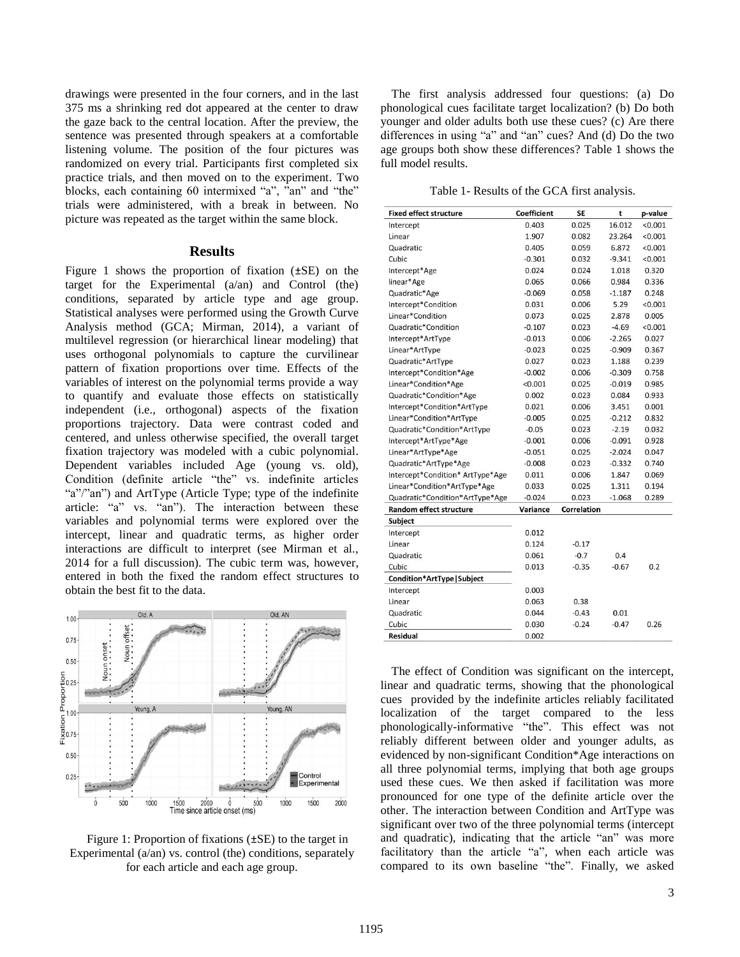drawings were presented in the four corners, and in the last 375 ms a shrinking red dot appeared at the center to draw the gaze back to the central location. After the preview, the sentence was presented through speakers at a comfortable listening volume. The position of the four pictures was randomized on every trial. Participants first completed six practice trials, and then moved on to the experiment. Two blocks, each containing 60 intermixed "a", "an" and "the" trials were administered, with a break in between. No picture was repeated as the target within the same block.

#### **Results**

Figure 1 shows the proportion of fixation  $(\pm SE)$  on the target for the Experimental (a/an) and Control (the) conditions, separated by article type and age group. Statistical analyses were performed using the Growth Curve Analysis method (GCA; Mirman, 2014), a variant of multilevel regression (or hierarchical linear modeling) that uses orthogonal polynomials to capture the curvilinear pattern of fixation proportions over time. Effects of the variables of interest on the polynomial terms provide a way to quantify and evaluate those effects on statistically independent (i.e., orthogonal) aspects of the fixation proportions trajectory. Data were contrast coded and centered, and unless otherwise specified, the overall target fixation trajectory was modeled with a cubic polynomial. Dependent variables included Age (young vs. old), Condition (definite article "the" vs. indefinite articles "a"/"an") and ArtType (Article Type; type of the indefinite article: "a" vs. "an"). The interaction between these variables and polynomial terms were explored over the intercept, linear and quadratic terms, as higher order interactions are difficult to interpret (see Mirman et al., 2014 for a full discussion). The cubic term was, however, entered in both the fixed the random effect structures to obtain the best fit to the data.



Figure 1: Proportion of fixations (±SE) to the target in Experimental  $(a/\text{an})$  vs. control (the) conditions, separately for each article and each age group.

The first analysis addressed four questions: (a) Do phonological cues facilitate target localization? (b) Do both younger and older adults both use these cues? (c) Are there differences in using "a" and "an" cues? And (d) Do the two age groups both show these differences? Table 1 shows the full model results.

Table 1- Results of the GCA first analysis.

| <b>Fixed effect structure</b>    | <b>Coefficient</b> | <b>SE</b>          | t        | p-value |
|----------------------------------|--------------------|--------------------|----------|---------|
| Intercept                        | 0.403              | 0.025              | 16.012   | < 0.001 |
| Linear                           | 1.907              | 0.082              | 23.264   | < 0.001 |
| Quadratic                        | 0.405              | 0.059              | 6.872    | < 0.001 |
| Cubic                            | $-0.301$           | 0.032              | $-9.341$ | < 0.001 |
| Intercept*Age                    | 0.024              | 0.024              | 1.018    | 0.320   |
| linear*Age                       | 0.065              | 0.066              | 0.984    | 0.336   |
| Quadratic*Age                    | $-0.069$           | 0.058              | $-1.187$ | 0.248   |
| Intercept*Condition              | 0.031              | 0.006              | 5.29     | < 0.001 |
| Linear*Condition                 | 0.073              | 0.025              | 2.878    | 0.005   |
| Quadratic*Condition              | $-0.107$           | 0.023              | $-4.69$  | < 0.001 |
| Intercept*ArtType                | $-0.013$           | 0.006              | $-2.265$ | 0.027   |
| Linear*ArtType                   | $-0.023$           | 0.025              | $-0.909$ | 0.367   |
| Quadratic*ArtType                | 0.027              | 0.023              | 1.188    | 0.239   |
| Intercept*Condition*Age          | $-0.002$           | 0.006              | $-0.309$ | 0.758   |
| Linear*Condition*Age             | < 0.001            | 0.025              | $-0.019$ | 0.985   |
| Quadratic*Condition*Age          | 0.002              | 0.023              | 0.084    | 0.933   |
| Intercept*Condition*ArtType      | 0.021              | 0.006              | 3.451    | 0.001   |
| Linear*Condition*ArtType         | $-0.005$           | 0.025              | $-0.212$ | 0.832   |
| Quadratic*Condition*ArtType      | $-0.05$            | 0.023              | $-2.19$  | 0.032   |
| Intercept*ArtType*Age            | $-0.001$           | 0.006              | $-0.091$ | 0.928   |
| Linear*ArtType*Age               | $-0.051$           | 0.025              | $-2.024$ | 0.047   |
| Quadratic*ArtType*Age            | $-0.008$           | 0.023              | $-0.332$ | 0.740   |
| Intercept*Condition* ArtType*Age | 0.011              | 0.006              | 1.847    | 0.069   |
| Linear*Condition*ArtType*Age     | 0.033              | 0.025              | 1.311    | 0.194   |
| Quadratic*Condition*ArtType*Age  | $-0.024$           | 0.023              | $-1.068$ | 0.289   |
| <b>Random effect structure</b>   | Variance           | <b>Correlation</b> |          |         |
| <b>Subject</b>                   |                    |                    |          |         |
| Intercept                        | 0.012              |                    |          |         |
| Linear                           | 0.124              | $-0.17$            |          |         |
| Quadratic                        | 0.061              | $-0.7$             | 0.4      |         |
| Cubic                            | 0.013              | $-0.35$            | $-0.67$  | 0.2     |
| Condition*ArtType   Subject      |                    |                    |          |         |
| Intercept                        | 0.003              |                    |          |         |
| Linear                           | 0.063              | 0.38               |          |         |
| Quadratic                        | 0.044              | $-0.43$            | 0.01     |         |
| Cubic                            | 0.030              | $-0.24$            | $-0.47$  | 0.26    |
| Residual                         | 0.002              |                    |          |         |

The effect of Condition was significant on the intercept, linear and quadratic terms, showing that the phonological cues provided by the indefinite articles reliably facilitated localization of the target compared to the less phonologically-informative "the". This effect was not reliably different between older and younger adults, as evidenced by non-significant Condition\*Age interactions on all three polynomial terms, implying that both age groups used these cues. We then asked if facilitation was more pronounced for one type of the definite article over the other. The interaction between Condition and ArtType was significant over two of the three polynomial terms (intercept and quadratic), indicating that the article "an" was more facilitatory than the article "a", when each article was compared to its own baseline "the". Finally, we asked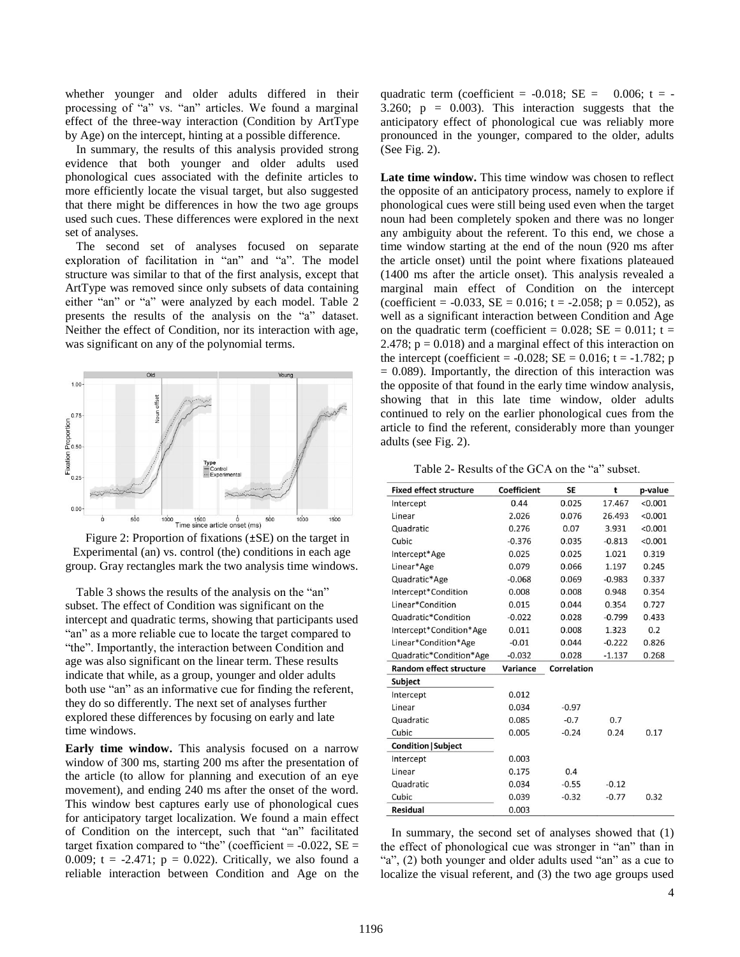whether younger and older adults differed in their processing of "a" vs. "an" articles. We found a marginal effect of the three-way interaction (Condition by ArtType by Age) on the intercept, hinting at a possible difference.

In summary, the results of this analysis provided strong evidence that both younger and older adults used phonological cues associated with the definite articles to more efficiently locate the visual target, but also suggested that there might be differences in how the two age groups used such cues. These differences were explored in the next set of analyses.

The second set of analyses focused on separate exploration of facilitation in "an" and "a". The model structure was similar to that of the first analysis, except that ArtType was removed since only subsets of data containing either "an" or "a" were analyzed by each model. Table 2 presents the results of the analysis on the "a" dataset. Neither the effect of Condition, nor its interaction with age, was significant on any of the polynomial terms.



Figure 2: Proportion of fixations (±SE) on the target in Experimental (an) vs. control (the) conditions in each age group. Gray rectangles mark the two analysis time windows.

Table 3 shows the results of the analysis on the "an" subset. The effect of Condition was significant on the intercept and quadratic terms, showing that participants used "an" as a more reliable cue to locate the target compared to "the". Importantly, the interaction between Condition and age was also significant on the linear term. These results indicate that while, as a group, younger and older adults both use "an" as an informative cue for finding the referent, they do so differently. The next set of analyses further explored these differences by focusing on early and late time windows.

**Early time window.** This analysis focused on a narrow window of 300 ms, starting 200 ms after the presentation of the article (to allow for planning and execution of an eye movement), and ending 240 ms after the onset of the word. This window best captures early use of phonological cues for anticipatory target localization. We found a main effect of Condition on the intercept, such that "an" facilitated target fixation compared to "the" (coefficient =  $-0.022$ , SE = 0.009;  $t = -2.471$ ;  $p = 0.022$ ). Critically, we also found a reliable interaction between Condition and Age on the quadratic term (coefficient =  $-0.018$ ; SE =  $0.006$ ; t =  $-$ 3.260;  $p = 0.003$ . This interaction suggests that the anticipatory effect of phonological cue was reliably more pronounced in the younger, compared to the older, adults (See Fig. 2).

**Late time window.** This time window was chosen to reflect the opposite of an anticipatory process, namely to explore if phonological cues were still being used even when the target noun had been completely spoken and there was no longer any ambiguity about the referent. To this end, we chose a time window starting at the end of the noun (920 ms after the article onset) until the point where fixations plateaued (1400 ms after the article onset). This analysis revealed a marginal main effect of Condition on the intercept (coefficient =  $-0.033$ , SE = 0.016; t =  $-2.058$ ; p = 0.052), as well as a significant interaction between Condition and Age on the quadratic term (coefficient =  $0.028$ ; SE =  $0.011$ ; t = 2.478;  $p = 0.018$ ) and a marginal effect of this interaction on the intercept (coefficient =  $-0.028$ ; SE = 0.016; t =  $-1.782$ ; p  $= 0.089$ ). Importantly, the direction of this interaction was the opposite of that found in the early time window analysis, showing that in this late time window, older adults continued to rely on the earlier phonological cues from the article to find the referent, considerably more than younger adults (see Fig. 2).

Table 2- Results of the GCA on the "a" subset.

| <b>Fixed effect structure</b>  | Coefficient | <b>SE</b>          | t        | p-value |
|--------------------------------|-------------|--------------------|----------|---------|
| Intercept                      | 0.44        | 0.025              | 17.467   | < 0.001 |
| Linear                         | 2.026       | 0.076              | 26.493   | < 0.001 |
| Quadratic                      | 0.276       | 0.07               | 3.931    | < 0.001 |
| Cubic                          | $-0.376$    | 0.035              | $-0.813$ | < 0.001 |
| Intercept*Age                  | 0.025       | 0.025              | 1.021    | 0.319   |
| Linear*Age                     | 0.079       | 0.066              | 1.197    | 0.245   |
| Quadratic*Age                  | $-0.068$    | 0.069              | $-0.983$ | 0.337   |
| Intercept*Condition            | 0.008       | 0.008              | 0.948    | 0.354   |
| Linear*Condition               | 0.015       | 0.044              | 0.354    | 0.727   |
| Quadratic*Condition            | $-0.022$    | 0.028              | $-0.799$ | 0.433   |
| Intercept*Condition*Age        | 0.011       | 0.008              | 1.323    | 0.2     |
| Linear*Condition*Age           | $-0.01$     | 0.044              | $-0.222$ | 0.826   |
| Quadratic*Condition*Age        | $-0.032$    | 0.028              | $-1.137$ | 0.268   |
| <b>Random effect structure</b> | Variance    | <b>Correlation</b> |          |         |
| Subject                        |             |                    |          |         |
| Intercept                      | 0.012       |                    |          |         |
| Linear                         | 0.034       | $-0.97$            |          |         |
| Quadratic                      | 0.085       | $-0.7$             | 0.7      |         |
| Cubic                          | 0.005       | $-0.24$            | 0.24     | 0.17    |
| <b>Condition   Subject</b>     |             |                    |          |         |
| Intercept                      | 0.003       |                    |          |         |
| Linear                         | 0.175       | 0.4                |          |         |
| Quadratic                      | 0.034       | $-0.55$            | $-0.12$  |         |
| Cubic                          | 0.039       | $-0.32$            | $-0.77$  | 0.32    |
| Residual                       | 0.003       |                    |          |         |

In summary, the second set of analyses showed that (1) the effect of phonological cue was stronger in "an" than in "a", (2) both younger and older adults used "an" as a cue to localize the visual referent, and (3) the two age groups used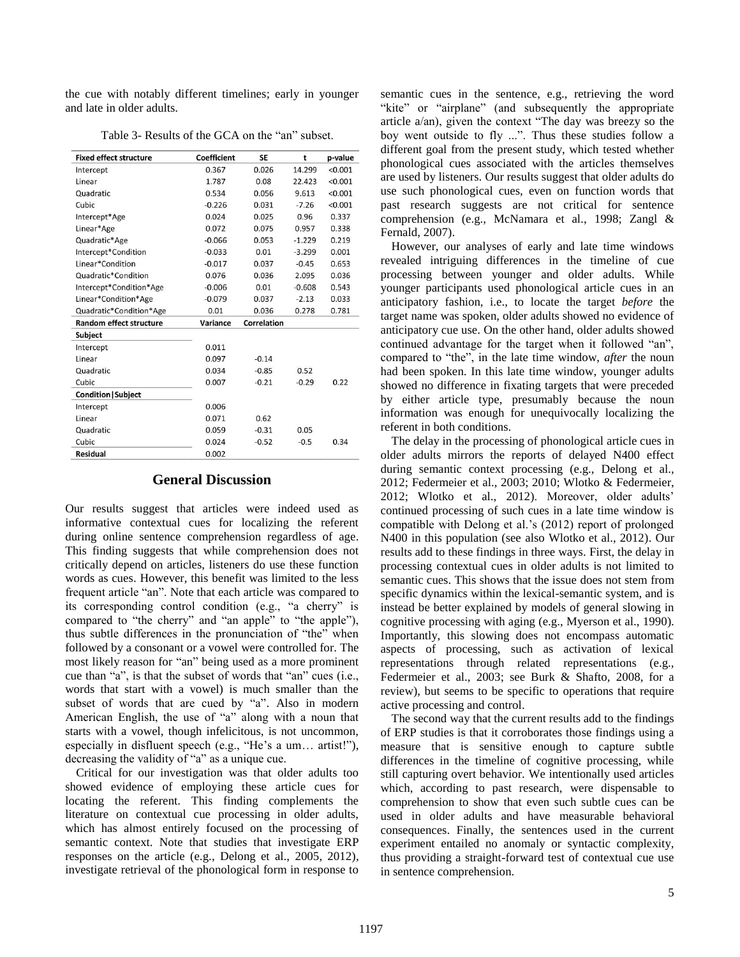the cue with notably different timelines; early in younger and late in older adults.

| <b>Fixed effect structure</b>  | <b>Coefficient</b> | <b>SE</b>          | t        | p-value |
|--------------------------------|--------------------|--------------------|----------|---------|
| Intercept                      | 0.367              | 0.026              | 14.299   | < 0.001 |
| Linear                         | 1.787              | 0.08               | 22.423   | < 0.001 |
| Quadratic                      | 0.534              | 0.056              | 9.613    | < 0.001 |
| Cubic                          | $-0.226$           | 0.031              | $-7.26$  | < 0.001 |
| Intercept*Age                  | 0.024              | 0.025              | 0.96     | 0.337   |
| Linear*Age                     | 0.072              | 0.075              | 0.957    | 0.338   |
| Quadratic*Age                  | $-0.066$           | 0.053              | $-1.229$ | 0.219   |
| Intercept*Condition            | $-0.033$           | 0.01               | $-3.299$ | 0.001   |
| Linear*Condition               | $-0.017$           | 0.037              | $-0.45$  | 0.653   |
| Quadratic*Condition            | 0.076              | 0.036              | 2.095    | 0.036   |
| Intercept*Condition*Age        | $-0.006$           | 0.01               | $-0.608$ | 0.543   |
| Linear*Condition*Age           | $-0.079$           | 0.037              | $-2.13$  | 0.033   |
| Quadratic*Condition*Age        | 0.01               | 0.036              | 0.278    | 0.781   |
| <b>Random effect structure</b> | Variance           | <b>Correlation</b> |          |         |
| Subject                        |                    |                    |          |         |
| Intercept                      | 0.011              |                    |          |         |
| Linear                         | 0.097              | $-0.14$            |          |         |
| Quadratic                      | 0.034              | $-0.85$            | 0.52     |         |
| Cubic                          | 0.007              | $-0.21$            | $-0.29$  | 0.22    |
| <b>Condition   Subject</b>     |                    |                    |          |         |
| Intercept                      | 0.006              |                    |          |         |
| Linear                         | 0.071              | 0.62               |          |         |
| Quadratic                      | 0.059              | $-0.31$            | 0.05     |         |
| Cubic                          | 0.024              | $-0.52$            | $-0.5$   | 0.34    |
| Residual                       | 0.002              |                    |          |         |

Table 3- Results of the GCA on the "an" subset.

#### **General Discussion**

Our results suggest that articles were indeed used as informative contextual cues for localizing the referent during online sentence comprehension regardless of age. This finding suggests that while comprehension does not critically depend on articles, listeners do use these function words as cues. However, this benefit was limited to the less frequent article "an". Note that each article was compared to its corresponding control condition (e.g., "a cherry" is compared to "the cherry" and "an apple" to "the apple"), thus subtle differences in the pronunciation of "the" when followed by a consonant or a vowel were controlled for. The most likely reason for "an" being used as a more prominent cue than "a", is that the subset of words that "an" cues (i.e., words that start with a vowel) is much smaller than the subset of words that are cued by "a". Also in modern American English, the use of "a" along with a noun that starts with a vowel, though infelicitous, is not uncommon, especially in disfluent speech (e.g., "He's a um… artist!"), decreasing the validity of "a" as a unique cue.

Critical for our investigation was that older adults too showed evidence of employing these article cues for locating the referent. This finding complements the literature on contextual cue processing in older adults, which has almost entirely focused on the processing of semantic context. Note that studies that investigate ERP responses on the article (e.g., Delong et al., 2005, 2012), investigate retrieval of the phonological form in response to

semantic cues in the sentence, e.g., retrieving the word "kite" or "airplane" (and subsequently the appropriate article a/an), given the context "The day was breezy so the boy went outside to fly ...". Thus these studies follow a different goal from the present study, which tested whether phonological cues associated with the articles themselves are used by listeners. Our results suggest that older adults do use such phonological cues, even on function words that past research suggests are not critical for sentence comprehension (e.g., McNamara et al., 1998; Zangl & Fernald, 2007).

However, our analyses of early and late time windows revealed intriguing differences in the timeline of cue processing between younger and older adults. While younger participants used phonological article cues in an anticipatory fashion, i.e., to locate the target *before* the target name was spoken, older adults showed no evidence of anticipatory cue use. On the other hand, older adults showed continued advantage for the target when it followed "an", compared to "the", in the late time window, *after* the noun had been spoken. In this late time window, younger adults showed no difference in fixating targets that were preceded by either article type, presumably because the noun information was enough for unequivocally localizing the referent in both conditions.

The delay in the processing of phonological article cues in older adults mirrors the reports of delayed N400 effect during semantic context processing (e.g., Delong et al., 2012; Federmeier et al., 2003; 2010; Wlotko & Federmeier, 2012; Wlotko et al., 2012). Moreover, older adults' continued processing of such cues in a late time window is compatible with Delong et al.'s (2012) report of prolonged N400 in this population (see also Wlotko et al., 2012). Our results add to these findings in three ways. First, the delay in processing contextual cues in older adults is not limited to semantic cues. This shows that the issue does not stem from specific dynamics within the lexical-semantic system, and is instead be better explained by models of general slowing in cognitive processing with aging (e.g., Myerson et al., 1990). Importantly, this slowing does not encompass automatic aspects of processing, such as activation of lexical representations through related representations (e.g., Federmeier et al., 2003; see Burk & Shafto, 2008, for a review), but seems to be specific to operations that require active processing and control.

The second way that the current results add to the findings of ERP studies is that it corroborates those findings using a measure that is sensitive enough to capture subtle differences in the timeline of cognitive processing, while still capturing overt behavior. We intentionally used articles which, according to past research, were dispensable to comprehension to show that even such subtle cues can be used in older adults and have measurable behavioral consequences. Finally, the sentences used in the current experiment entailed no anomaly or syntactic complexity, thus providing a straight-forward test of contextual cue use in sentence comprehension.